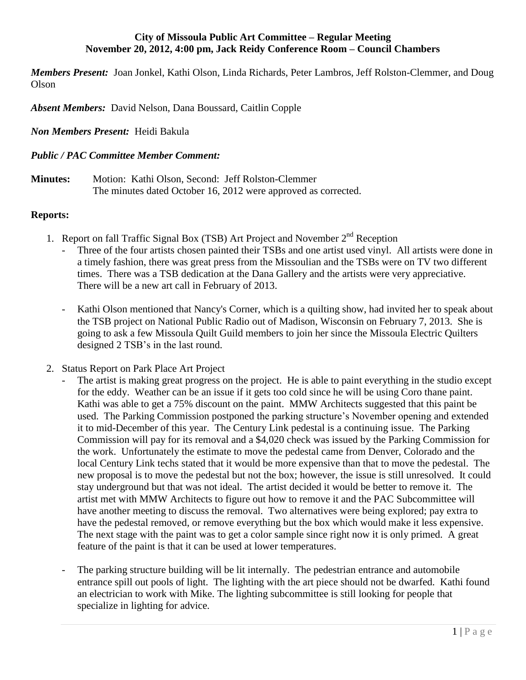### **City of Missoula Public Art Committee – Regular Meeting November 20, 2012, 4:00 pm, Jack Reidy Conference Room – Council Chambers**

*Members Present:* Joan Jonkel, Kathi Olson, Linda Richards, Peter Lambros, Jeff Rolston-Clemmer, and Doug Olson

*Absent Members:* David Nelson, Dana Boussard, Caitlin Copple

*Non Members Present:* Heidi Bakula

### *Public / PAC Committee Member Comment:*

**Minutes:** Motion: Kathi Olson, Second: Jeff Rolston-Clemmer The minutes dated October 16, 2012 were approved as corrected.

### **Reports:**

- 1. Report on fall Traffic Signal Box (TSB) Art Project and November  $2<sup>nd</sup>$  Reception
	- Three of the four artists chosen painted their TSBs and one artist used vinyl. All artists were done in a timely fashion, there was great press from the Missoulian and the TSBs were on TV two different times. There was a TSB dedication at the Dana Gallery and the artists were very appreciative. There will be a new art call in February of 2013.
	- Kathi Olson mentioned that Nancy's Corner, which is a quilting show, had invited her to speak about the TSB project on National Public Radio out of Madison, Wisconsin on February 7, 2013. She is going to ask a few Missoula Quilt Guild members to join her since the Missoula Electric Quilters designed 2 TSB's in the last round.
- 2. Status Report on Park Place Art Project
	- The artist is making great progress on the project. He is able to paint everything in the studio except for the eddy. Weather can be an issue if it gets too cold since he will be using Coro thane paint. Kathi was able to get a 75% discount on the paint. MMW Architects suggested that this paint be used. The Parking Commission postponed the parking structure's November opening and extended it to mid-December of this year. The Century Link pedestal is a continuing issue. The Parking Commission will pay for its removal and a \$4,020 check was issued by the Parking Commission for the work. Unfortunately the estimate to move the pedestal came from Denver, Colorado and the local Century Link techs stated that it would be more expensive than that to move the pedestal. The new proposal is to move the pedestal but not the box; however, the issue is still unresolved. It could stay underground but that was not ideal. The artist decided it would be better to remove it. The artist met with MMW Architects to figure out how to remove it and the PAC Subcommittee will have another meeting to discuss the removal. Two alternatives were being explored; pay extra to have the pedestal removed, or remove everything but the box which would make it less expensive. The next stage with the paint was to get a color sample since right now it is only primed. A great feature of the paint is that it can be used at lower temperatures.
	- The parking structure building will be lit internally. The pedestrian entrance and automobile entrance spill out pools of light. The lighting with the art piece should not be dwarfed. Kathi found an electrician to work with Mike. The lighting subcommittee is still looking for people that specialize in lighting for advice.